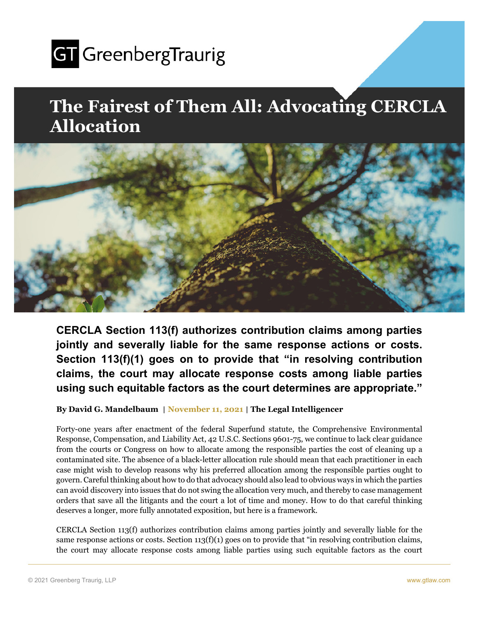

## **The Fairest of Them All: Advocating CERCLA Allocation**



**CERCLA Section 113(f) authorizes contribution claims among parties jointly and severally liable for the same response actions or costs. Section 113(f)(1) goes on to provide that "in resolving contribution claims, the court may allocate response costs among liable parties using such equitable factors as the court determines are appropriate."** 

**By David G. Mandelbaum** | **November 11, 2021** | **The Legal Intelligencer** 

Forty-one years after enactment of the federal Superfund statute, the Comprehensive Environmental Response, Compensation, and Liability Act, 42 U.S.C. Sections 9601-75, we continue to lack clear guidance from the courts or Congress on how to allocate among the responsible parties the cost of cleaning up a contaminated site. The absence of a black-letter allocation rule should mean that each practitioner in each case might wish to develop reasons why his preferred allocation among the responsible parties ought to govern. Careful thinking about how to do that advocacy should also lead to obvious ways in which the parties can avoid discovery into issues that do not swing the allocation very much, and thereby to case management orders that save all the litigants and the court a lot of time and money. How to do that careful thinking deserves a longer, more fully annotated exposition, but here is a framework.

CERCLA Section 113(f) authorizes contribution claims among parties jointly and severally liable for the same response actions or costs. Section  $113(f)(1)$  goes on to provide that "in resolving contribution claims, the court may allocate response costs among liable parties using such equitable factors as the court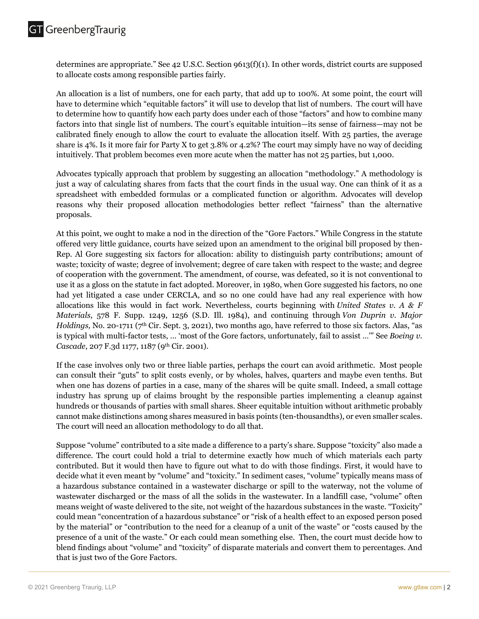determines are appropriate." See 42 U.S.C. Section 9613(f)(1). In other words, district courts are supposed to allocate costs among responsible parties fairly.

An allocation is a list of numbers, one for each party, that add up to 100%. At some point, the court will have to determine which "equitable factors" it will use to develop that list of numbers. The court will have to determine how to quantify how each party does under each of those "factors" and how to combine many factors into that single list of numbers. The court's equitable intuition—its sense of fairness—may not be calibrated finely enough to allow the court to evaluate the allocation itself. With 25 parties, the average share is 4%. Is it more fair for Party X to get 3.8% or 4.2%? The court may simply have no way of deciding intuitively. That problem becomes even more acute when the matter has not 25 parties, but 1,000.

Advocates typically approach that problem by suggesting an allocation "methodology." A methodology is just a way of calculating shares from facts that the court finds in the usual way. One can think of it as a spreadsheet with embedded formulas or a complicated function or algorithm. Advocates will develop reasons why their proposed allocation methodologies better reflect "fairness" than the alternative proposals.

At this point, we ought to make a nod in the direction of the "Gore Factors." While Congress in the statute offered very little guidance, courts have seized upon an amendment to the original bill proposed by then-Rep. Al Gore suggesting six factors for allocation: ability to distinguish party contributions; amount of waste; toxicity of waste; degree of involvement; degree of care taken with respect to the waste; and degree of cooperation with the government. The amendment, of course, was defeated, so it is not conventional to use it as a gloss on the statute in fact adopted. Moreover, in 1980, when Gore suggested his factors, no one had yet litigated a case under CERCLA, and so no one could have had any real experience with how allocations like this would in fact work. Nevertheless, courts beginning with *United States v. A & F Materials*, 578 F. Supp. 1249, 1256 (S.D. Ill. 1984), and continuing through *Von Duprin v. Major Holdings,* No. 20-1711 (7th Cir. Sept. 3, 2021), two months ago, have referred to those six factors. Alas, "as is typical with multi-factor tests, … 'most of the Gore factors, unfortunately, fail to assist …'" See *Boeing v.*  Cascade, 207 F.3d 1177, 1187 (9<sup>th</sup> Cir. 2001).

If the case involves only two or three liable parties, perhaps the court can avoid arithmetic. Most people can consult their "guts" to split costs evenly, or by wholes, halves, quarters and maybe even tenths. But when one has dozens of parties in a case, many of the shares will be quite small. Indeed, a small cottage industry has sprung up of claims brought by the responsible parties implementing a cleanup against hundreds or thousands of parties with small shares. Sheer equitable intuition without arithmetic probably cannot make distinctions among shares measured in basis points (ten-thousandths), or even smaller scales. The court will need an allocation methodology to do all that.

Suppose "volume" contributed to a site made a difference to a party's share. Suppose "toxicity" also made a difference. The court could hold a trial to determine exactly how much of which materials each party contributed. But it would then have to figure out what to do with those findings. First, it would have to decide what it even meant by "volume" and "toxicity." In sediment cases, "volume" typically means mass of a hazardous substance contained in a wastewater discharge or spill to the waterway, not the volume of wastewater discharged or the mass of all the solids in the wastewater. In a landfill case, "volume" often means weight of waste delivered to the site, not weight of the hazardous substances in the waste. "Toxicity" could mean "concentration of a hazardous substance" or "risk of a health effect to an exposed person posed by the material" or "contribution to the need for a cleanup of a unit of the waste" or "costs caused by the presence of a unit of the waste." Or each could mean something else. Then, the court must decide how to blend findings about "volume" and "toxicity" of disparate materials and convert them to percentages. And that is just two of the Gore Factors.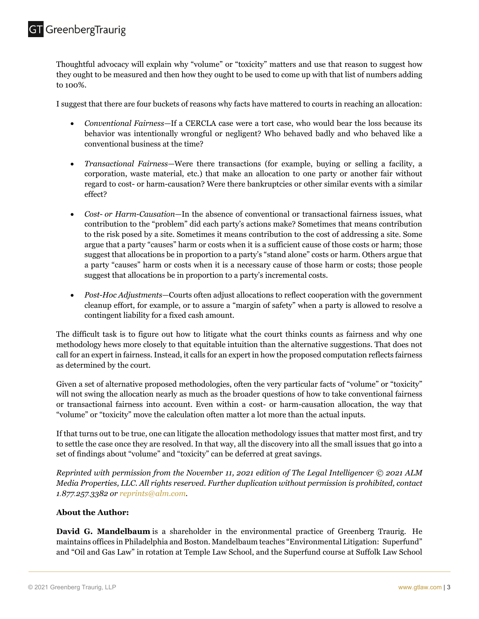Thoughtful advocacy will explain why "volume" or "toxicity" matters and use that reason to suggest how they ought to be measured and then how they ought to be used to come up with that list of numbers adding to 100%.

I suggest that there are four buckets of reasons why facts have mattered to courts in reaching an allocation:

- *Conventional Fairness—*If a CERCLA case were a tort case, who would bear the loss because its behavior was intentionally wrongful or negligent? Who behaved badly and who behaved like a conventional business at the time?
- *Transactional Fairness—*Were there transactions (for example, buying or selling a facility, a corporation, waste material, etc.) that make an allocation to one party or another fair without regard to cost- or harm-causation? Were there bankruptcies or other similar events with a similar effect?
- *Cost or Harm-Causation—*In the absence of conventional or transactional fairness issues, what contribution to the "problem" did each party's actions make? Sometimes that means contribution to the risk posed by a site. Sometimes it means contribution to the cost of addressing a site. Some argue that a party "causes" harm or costs when it is a sufficient cause of those costs or harm; those suggest that allocations be in proportion to a party's "stand alone" costs or harm. Others argue that a party "causes" harm or costs when it is a necessary cause of those harm or costs; those people suggest that allocations be in proportion to a party's incremental costs.
- *Post*-*Hoc Adjustments—*Courts often adjust allocations to reflect cooperation with the government cleanup effort, for example, or to assure a "margin of safety" when a party is allowed to resolve a contingent liability for a fixed cash amount.

The difficult task is to figure out how to litigate what the court thinks counts as fairness and why one methodology hews more closely to that equitable intuition than the alternative suggestions. That does not call for an expert in fairness. Instead, it calls for an expert in how the proposed computation reflects fairness as determined by the court.

Given a set of alternative proposed methodologies, often the very particular facts of "volume" or "toxicity" will not swing the allocation nearly as much as the broader questions of how to take conventional fairness or transactional fairness into account. Even within a cost- or harm-causation allocation, the way that "volume" or "toxicity" move the calculation often matter a lot more than the actual inputs.

If that turns out to be true, one can litigate the allocation methodology issues that matter most first, and try to settle the case once they are resolved. In that way, all the discovery into all the small issues that go into a set of findings about "volume" and "toxicity" can be deferred at great savings.

*Reprinted with permission from the November 11, 2021 edition of The Legal Intelligencer © 2021 ALM Media Properties, LLC. All rights reserved. Further duplication without permission is prohibited, contact 1.877.257.3382 or reprints@alm.com.* 

## **About the Author:**

**David G. Mandelbaum** is a shareholder in the environmental practice of Greenberg Traurig. He maintains offices in Philadelphia and Boston. Mandelbaum teaches "Environmental Litigation: Superfund" and "Oil and Gas Law" in rotation at Temple Law School, and the Superfund course at Suffolk Law School